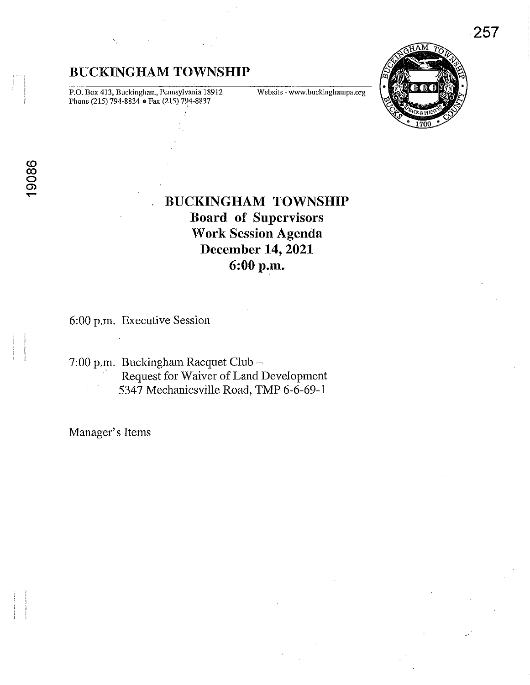# **BUCKINGHAM TOWNSHIP**

P.O. Box 413, Buckingham, Pennsylvania 18912 Phone (215) 794-8834 • Fax (215) 794-8837

**Website -www.buckinghampa.org** 



# **BUCKINGHAM TOWNSHIP Board of Supervisors Work Session Agenda December 14, 2021 6:00 p.m.**

6:00 p.m. Executive Session

7:00 p.m. Buckingham Racquet Club-Request for Waiver of Land Development 5347 Mechanicsville Road, **TMP** 6-6-69-1

Manager's Items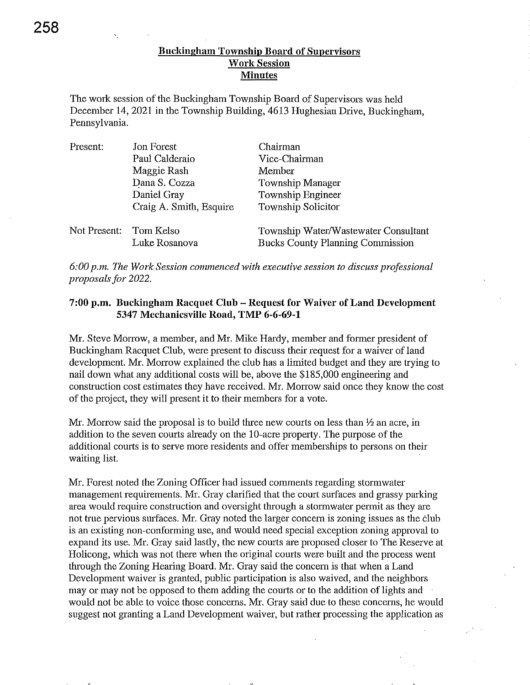## Buckiugham Township Board of Supervisors Work Session Minutes

The work session of the Buckingham Township Board of Supervisors was held December 14, 2021 in the Township Building, 4613 Hughesian Drive, Buckingham, Pennsylvania.

| Present:               | Jon Forest              | Chairman                                                                        |
|------------------------|-------------------------|---------------------------------------------------------------------------------|
|                        | Paul Calderaio          | Vice-Chairman                                                                   |
|                        | Maggie Rash             | Member                                                                          |
|                        | Dana S. Cozza           | <b>Township Manager</b>                                                         |
|                        | Daniel Gray             | Township Engineer                                                               |
|                        | Craig A. Smith, Esquire | Township Solicitor                                                              |
| Not Present: Tom Kelso | Luke Rosanova           | Township Water/Wastewater Consultant<br><b>Bucks County Planning Commission</b> |

*6:00 p.m. The Work Session commenced with executive session to discuss professional proposals for 2022.* 

#### 7:00 p.m. Buckingham Racquet Club - Request for Waiver of Land Development 5347 Mechanicsville Road, TMP 6-6-69-1

Mr. Steve Morrow, a member, and Mr. Mike Hardy, member and former president of Buckingham Racquet Club, were present to discuss their request for a waiver of land development. Mr. Morrow explained the club has a limited budget and they are trying to nail down what any additional costs will be, above the \$185,000 engineering and construction cost estimates they have received. Mr. Morrow said once they know the cost of the project, they will present it to their members for a vote.

Mr. Morrow said the proposal is to build three new courts on less than *Y2* an acre, in addition to the seven courts ah'eady on the lO-acre property. The purpose of the additional courts is to serve more residents and offer memberships to persons on their waiting list.

Mr. Forest noted the Zoning Officer had issued comments regarding stormwater management requirements. Mr. Gray clarified that the court surfaces and grassy parking area would require construction and oversight through a stormwater permit as they are not true pervious surfaces. Mr. Gray noted the larger concern is zoning issues as the dub is an existing non-conforming use, and would need special exception zoning approval to expand its use. Mr. Gray said lastly, the new courts are proposed closer to The Reserve at Holicong, which was not there when the original courts were built and the process went through the Zoning Hearing Board. Mr. Gray said the concern is that when a Land Development waiver is granted, public participation is also waived, and the neighbors mayor may not be opposed to them adding the courts or to the addition of lights and would not be able to voice those concerns. Mr. Gray said due to these concerns, he would suggest not granting a Land Development waiver, but rather processing the application as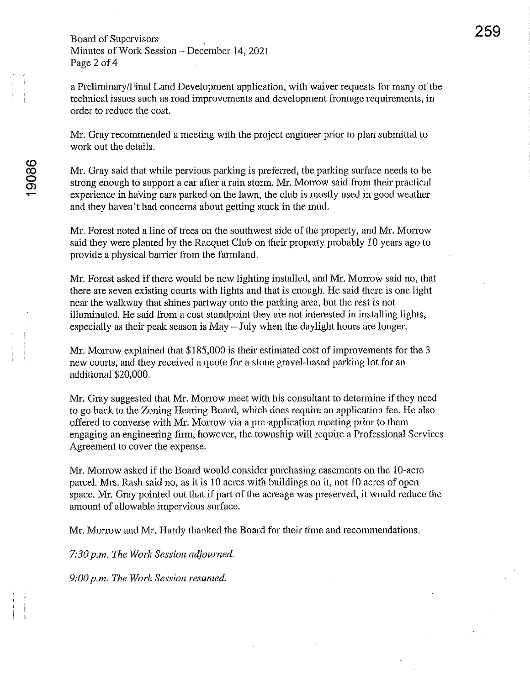Board of Supervisors Minutes of Work Session - December 14, 2021 Page 2 of 4

a PreliminaryIFina1 Land Development application, with waiver requests for many of the technical issues such as road improvements and development frontage requirements, in order to reduce the cost.

Mr. Gray recommended a meeting with the project engineer prior to plan submittal to work out the details.

Mr. Gray said that while pervious parking is preferred, the parking surface needs to be strong enough to support a car after a rain storm. Mr. Morrow said from their practical experience in having cars parked on the lawn, the club is mostly used in good weather and they haven't had concerns about getting stuck in the mud.

Mr. Forest noted a line of trees on the southwest side of the property, and Mr. Morrow said they were planted by the Racquet Club on their property probably 10 years ago to provide a physical barrier from the farmland.

Mr. Forest asked if there would be new lighting installed, and Mr. Morrow said no, that there are seven existing courts with lights and that is enough. He said there is one light near' the walkway that shines partway onto the parking area, but the rest is not illuminated. He said from a cost standpoint they are not interested in installing lights, especially as their peak season is May - July when the daylight hours are longer.

Mr. Morrow explained that \$185,000 is their estimated cost of improvements for the 3 new courts, and they received a quote for a stone gravel-based parking lot for an additional \$20,000.

Mr. Gray suggested that Mr. Morrow meet with his consultant to determine if they need to go back to the Zoning Hearing Board, which does require an application fee. He also offered to converse with Mr. Morrow via a pre-application meeting prior to them engaging an engineering firm, however, the township will require a Professional Services Agreement to cover the expense.

Mr. Morrow asked if the Board would consider purchasing easements on the lO-acre parcel. Mrs. Rash said no, as it is 10 acres with buildings on it, not 10 acres of open space. Mr. Gray pointed out that if part of the acreage was preserved, it would reduce the amount of allowable impervious surface.

Mr. Morrow and Mr. Hardy thanked the Board for their time and recommendations.

*7:30 p.m. The Work Session adjourned.* 

*9:00 p.m. The Work Session resumed.*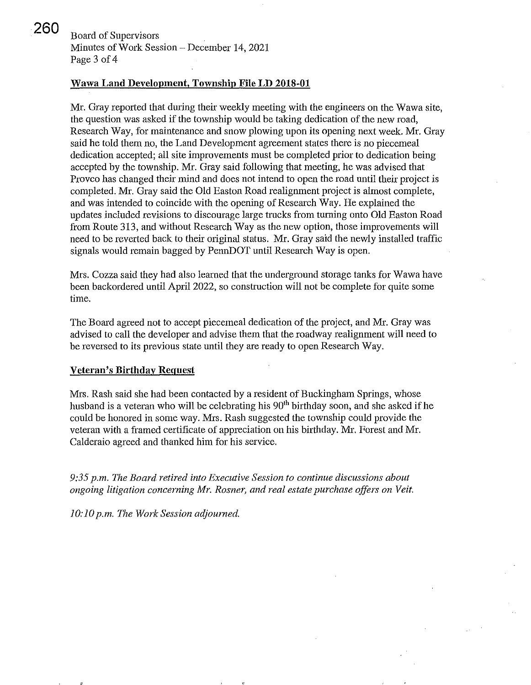260 **Board of Supervisors** Minutes of Work Session – December 14, 2021 Page 3 of 4

# Wawa Land Development, Township File **LD** 2018-01

Mr. Gray reported that during their weekly meeting with the engineers on the Wawa site, the question was asked if the township would be taking dedication of the new road, Research Way, for maintenance and snow plowing upon its opening next week. Mr. Gray said he told them no, the Land Development agreement states there is no piecemeal dedication accepted; all site improvements must be completed prior to dedication being accepted by the township. Mr. Gray said following that meeting, he was advised that Provco has changed their mind and does not intend to open the road until their project is completed. Mr. Gray said the Old Easton Road realignment project is almost complete, and was intended to coincide with the opening of Research Way. He explained the updates included revisions to discourage large trucks from turning onto Old Easton Road from Route 313, and without Research Way as the new option, those improvements will need to be reverted back to their original status. Mr. Gray said the newly installed traffic signals would remain bagged by PennDOT until Research Way is open.

Mrs. Cozza said they had also learned that the underground storage tanks for Wawa have been backordered until April 2022, so construction will not be complete for quite some time.

The Board agreed not to accept piecemeal dedication of the project, and Mr. Gray was advised to call the developer and advise them that the roadway realignment will need to be reversed to its previous state until they are ready to open Research Way.

## Veteran's Birthday Request

Mrs. Rash said she had been contacted by a resident of Buckingham Springs, whose husband is a veteran who will be celebrating his 90<sup>th</sup> birthday soon, and she asked if he could be honored in some way. Mrs. Rash suggested the township could provide the veteran with a framed certificate of appreciation on his birthday. Mr. Forest and Mr. Calderaio agreed and thanked him for his service.

*9:35 p.m. The Board retired into Executive Session to continue discussions about ongoing litigation concerning Mr. Rosner, and real estate purchase offers on Veit.* 

*10:10 p.m. The Work Session adjourned.*